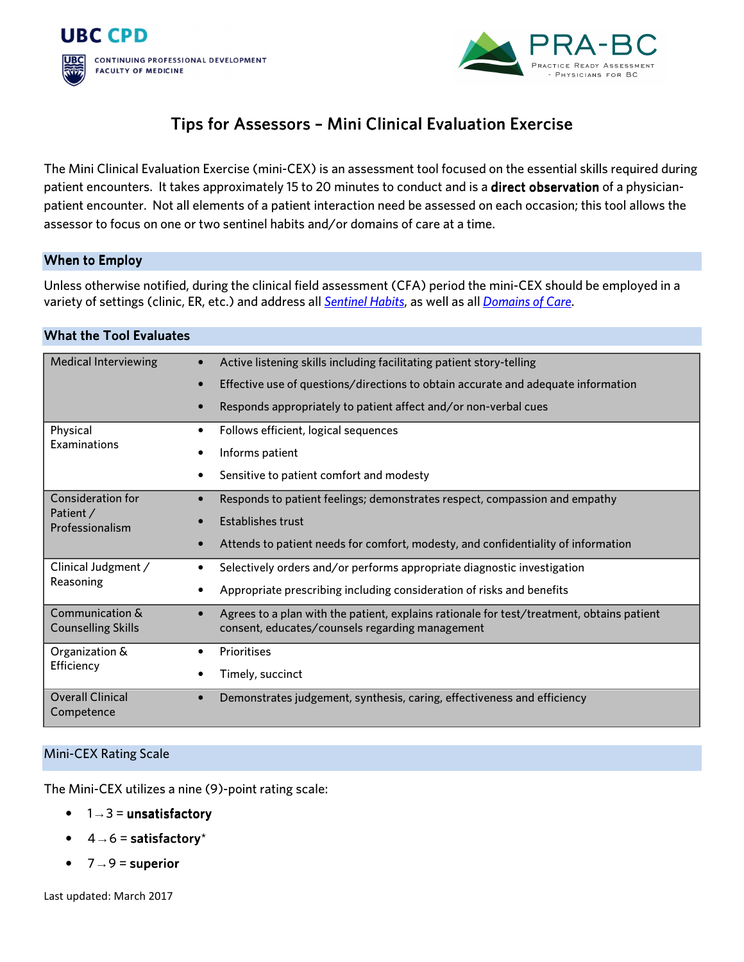



# Tips for Assessors - Mini Clinical Evaluation Exercise

The Mini Clinical Evaluation Exercise (mini-CEX) is an assessment tool focused on the essential skills required during patient encounters. It takes approximately 15 to 20 minutes to conduct and is a direct observation of a physicianpatient encounter. Not all elements of a patient interaction need be assessed on each occasion; this tool allows the assessor to focus on one or two sentinel habits and/or domains of care at a time.

## When to Employ

Unless otherwise notified, during the clinical field assessment (CFA) period the mini-CEX should be employed in a variety of settings (clinic, ER, etc.) and address all *Sentinel Habits*, as well as all *Domains of Care*.

## What the Tool Evaluates

| <b>Medical Interviewing</b>                       | Active listening skills including facilitating patient story-telling                                                                         |
|---------------------------------------------------|----------------------------------------------------------------------------------------------------------------------------------------------|
|                                                   | Effective use of questions/directions to obtain accurate and adequate information                                                            |
|                                                   | Responds appropriately to patient affect and/or non-verbal cues                                                                              |
| Physical<br>Examinations                          | Follows efficient, logical sequences                                                                                                         |
|                                                   | Informs patient                                                                                                                              |
|                                                   | Sensitive to patient comfort and modesty                                                                                                     |
| Consideration for<br>Patient /<br>Professionalism | Responds to patient feelings; demonstrates respect, compassion and empathy                                                                   |
|                                                   | <b>Establishes trust</b>                                                                                                                     |
|                                                   | Attends to patient needs for comfort, modesty, and confidentiality of information                                                            |
| Clinical Judgment /<br>Reasoning                  | Selectively orders and/or performs appropriate diagnostic investigation<br>$\bullet$                                                         |
|                                                   | Appropriate prescribing including consideration of risks and benefits                                                                        |
| Communication &<br><b>Counselling Skills</b>      | Agrees to a plan with the patient, explains rationale for test/treatment, obtains patient<br>consent, educates/counsels regarding management |
| Organization &<br>Efficiency                      | Prioritises                                                                                                                                  |
|                                                   | Timely, succinct                                                                                                                             |
| <b>Overall Clinical</b><br>Competence             | Demonstrates judgement, synthesis, caring, effectiveness and efficiency<br>$\bullet$                                                         |

## Mini-CEX Rating Scale

The Mini-CEX utilizes a nine (9)-point rating scale:

- $1 \rightarrow 3 =$  unsatisfactory
- $4 \rightarrow 6$  = satisfactory\*
- $7 \rightarrow 9$  = superior